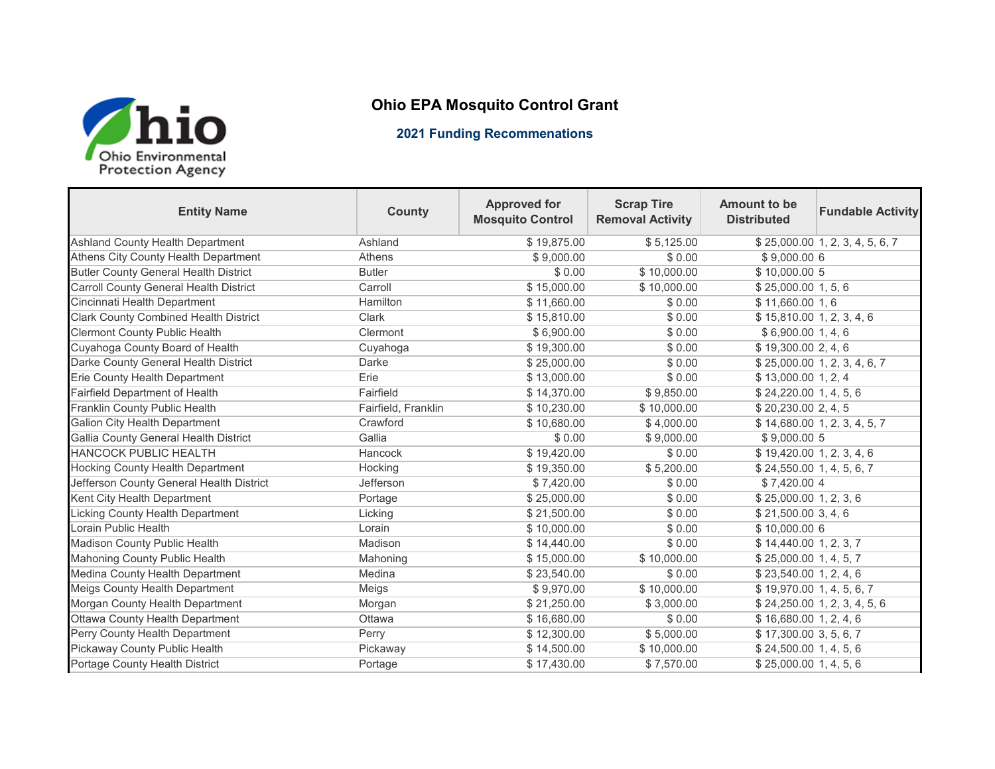

## **Ohio EPA Mosquito Control Grant**

## **2021 Funding Recommenations**

| <b>Entity Name</b>                            | <b>County</b>       | <b>Approved for</b><br><b>Mosquito Control</b> | <b>Scrap Tire</b><br><b>Removal Activity</b> | Amount to be<br><b>Distributed</b> | <b>Fundable Activity</b>        |
|-----------------------------------------------|---------------------|------------------------------------------------|----------------------------------------------|------------------------------------|---------------------------------|
| Ashland County Health Department              | Ashland             | \$19,875.00                                    | \$5,125.00                                   |                                    | \$25,000.00 1, 2, 3, 4, 5, 6, 7 |
| Athens City County Health Department          | <b>Athens</b>       | \$9,000.00                                     | \$0.00                                       | \$9,000.00 6                       |                                 |
| <b>Butler County General Health District</b>  | <b>Butler</b>       | \$0.00                                         | \$10,000.00                                  | \$10,000.00 5                      |                                 |
| <b>Carroll County General Health District</b> | Carroll             | \$15,000.00                                    | \$10,000.00                                  | \$25,000.00 1, 5, 6                |                                 |
| Cincinnati Health Department                  | Hamilton            | \$11,660.00                                    | \$0.00                                       | \$11,660.00 1,6                    |                                 |
| <b>Clark County Combined Health District</b>  | Clark               | \$15,810.00                                    | \$0.00                                       | \$15,810.001, 2, 3, 4, 6           |                                 |
| <b>Clermont County Public Health</b>          | Clermont            | \$6,900.00                                     | \$0.00                                       | \$6,900.00 1, 4, 6                 |                                 |
| Cuyahoga County Board of Health               | Cuyahoga            | \$19,300.00                                    | \$0.00                                       | \$19,300.00 2, 4, 6                |                                 |
| Darke County General Health District          | Darke               | \$25,000.00                                    | \$0.00                                       |                                    | \$25,000.00 1, 2, 3, 4, 6, 7    |
| Erie County Health Department                 | Erie                | \$13,000.00                                    | \$0.00                                       | \$13,000.001, 2, 4                 |                                 |
| <b>Fairfield Department of Health</b>         | Fairfield           | \$14,370.00                                    | \$9,850.00                                   | \$24,220.00 1, 4, 5, 6             |                                 |
| Franklin County Public Health                 | Fairfield, Franklin | \$10,230.00                                    | \$10,000.00                                  | \$20,230.00 2, 4, 5                |                                 |
| <b>Galion City Health Department</b>          | Crawford            | \$10,680.00                                    | \$4,000.00                                   |                                    | \$14,680.00 1, 2, 3, 4, 5, 7    |
| Gallia County General Health District         | Gallia              | \$0.00                                         | \$9,000.00                                   | \$9,000.00 5                       |                                 |
| <b>HANCOCK PUBLIC HEALTH</b>                  | Hancock             | \$19,420.00                                    | \$0.00                                       | \$19,420.00 1, 2, 3, 4, 6          |                                 |
| <b>Hocking County Health Department</b>       | Hocking             | \$19,350.00                                    | \$5,200.00                                   | \$24,550.00 1, 4, 5, 6, 7          |                                 |
| Jefferson County General Health District      | Jefferson           | \$7,420.00                                     | \$0.00                                       | \$7,420.00 4                       |                                 |
| Kent City Health Department                   | Portage             | \$25,000.00                                    | \$0.00                                       | \$25,000.00 1, 2, 3, 6             |                                 |
| Licking County Health Department              | Licking             | \$21,500.00                                    | \$0.00                                       | \$21,500.003, 4,6                  |                                 |
| Lorain Public Health                          | Lorain              | \$10,000.00                                    | \$0.00                                       | \$10,000.00 6                      |                                 |
| Madison County Public Health                  | Madison             | \$14,440.00                                    | \$0.00                                       | \$14,440.00 1, 2, 3, 7             |                                 |
| Mahoning County Public Health                 | Mahoning            | \$15,000.00                                    | \$10,000.00                                  | \$25,000.00 1, 4, 5, 7             |                                 |
| Medina County Health Department               | Medina              | \$23,540.00                                    | \$0.00                                       | \$23,540.00 1, 2, 4, 6             |                                 |
| Meigs County Health Department                | Meigs               | \$9,970.00                                     | \$10,000.00                                  | \$19,970.00 1, 4, 5, 6, 7          |                                 |
| Morgan County Health Department               | Morgan              | \$21,250.00                                    | \$3,000.00                                   |                                    | \$24,250.00 1, 2, 3, 4, 5, 6    |
| Ottawa County Health Department               | Ottawa              | \$16,680.00                                    | \$0.00                                       | \$16,680.00 1, 2, 4, 6             |                                 |
| Perry County Health Department                | Perry               | \$12,300.00                                    | \$5,000.00                                   | \$17,300.003,5,6,7                 |                                 |
| Pickaway County Public Health                 | Pickaway            | \$14,500.00                                    | \$10,000.00                                  | \$24,500.00 1, 4, 5, 6             |                                 |
| Portage County Health District                | Portage             | \$17,430.00                                    | \$7,570.00                                   | \$25,000.00 1, 4, 5, 6             |                                 |